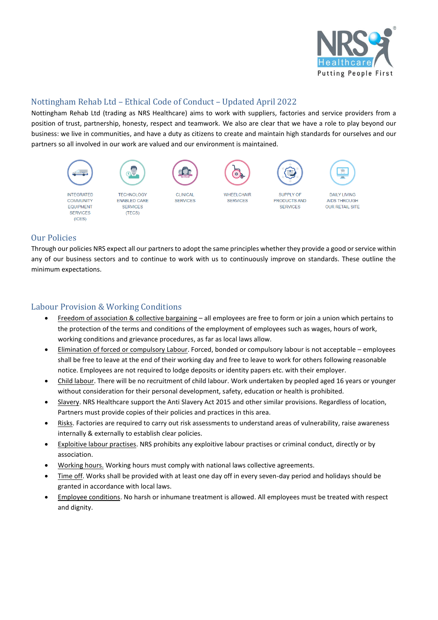

# Nottingham Rehab Ltd – Ethical Code of Conduct – Updated April 2022

Nottingham Rehab Ltd (trading as NRS Healthcare) aims to work with suppliers, factories and service providers from a position of trust, partnership, honesty, respect and teamwork. We also are clear that we have a role to play beyond our business: we live in communities, and have a duty as citizens to create and maintain high standards for ourselves and our partners so all involved in our work are valued and our environment is maintained.



#### Our Policies

Through our policies NRS expect all our partners to adopt the same principles whether they provide a good or service within any of our business sectors and to continue to work with us to continuously improve on standards. These outline the minimum expectations.

# Labour Provision & Working Conditions

- Freedom of association & collective bargaining all employees are free to form or join a union which pertains to the protection of the terms and conditions of the employment of employees such as wages, hours of work, working conditions and grievance procedures, as far as local laws allow.
- Elimination of forced or compulsory Labour. Forced, bonded or compulsory labour is not acceptable employees shall be free to leave at the end of their working day and free to leave to work for others following reasonable notice. Employees are not required to lodge deposits or identity papers etc. with their employer.
- Child labour. There will be no recruitment of child labour. Work undertaken by peopled aged 16 years or younger without consideration for their personal development, safety, education or health is prohibited.
- Slavery. NRS Healthcare support the Anti Slavery Act 2015 and other similar provisions. Regardless of location, Partners must provide copies of their policies and practices in this area.
- Risks. Factories are required to carry out risk assessments to understand areas of vulnerability, raise awareness internally & externally to establish clear policies.
- Exploitive labour practises. NRS prohibits any exploitive labour practises or criminal conduct, directly or by association.
- Working hours. Working hours must comply with national laws collective agreements.
- Time off. Works shall be provided with at least one day off in every seven-day period and holidays should be granted in accordance with local laws.
- Employee conditions. No harsh or inhumane treatment is allowed. All employees must be treated with respect and dignity.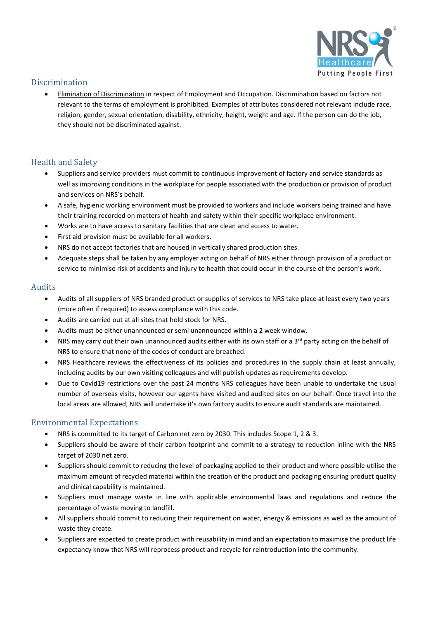

### **Discrimination**

• Elimination of Discrimination in respect of Employment and Occupation. Discrimination based on factors not relevant to the terms of employment is prohibited. Examples of attributes considered not relevant include race, religion, gender, sexual orientation, disability, ethnicity, height, weight and age. If the person can do the job, they should not be discriminated against.

# Health and Safety

- Suppliers and service providers must commit to continuous improvement of factory and service standards as well as improving conditions in the workplace for people associated with the production or provision of product and services on NRS's behalf.
- A safe, hygienic working environment must be provided to workers and include workers being trained and have their training recorded on matters of health and safety within their specific workplace environment.
- Works are to have access to sanitary facilities that are clean and access to water.
- First aid provision must be available for all workers.
- NRS do not accept factories that are housed in vertically shared production sites.
- Adequate steps shall be taken by any employer acting on behalf of NRS either through provision of a product or service to minimise risk of accidents and injury to health that could occur in the course of the person's work.

#### Audits

- Audits of all suppliers of NRS branded product or supplies of services to NRS take place at least every two years (more often if required) to assess compliance with this code.
- Audits are carried out at all sites that hold stock for NRS.
- Audits must be either unannounced or semi unannounced within a 2 week window.
- NRS may carry out their own unannounced audits either with its own staff or a 3<sup>rd</sup> party acting on the behalf of NRS to ensure that none of the codes of conduct are breached.
- NRS Healthcare reviews the effectiveness of its policies and procedures in the supply chain at least annually, including audits by our own visiting colleagues and will publish updates as requirements develop.
- Due to Covid19 restrictions over the past 24 months NRS colleagues have been unable to undertake the usual number of overseas visits, however our agents have visited and audited sites on our behalf. Once travel into the local areas are allowed, NRS will undertake it's own factory audits to ensure audit standards are maintained.

#### Environmental Expectations

- NRS is committed to its target of Carbon net zero by 2030. This includes Scope 1, 2 & 3.
- Suppliers should be aware of their carbon footprint and commit to a strategy to reduction inline with the NRS target of 2030 net zero.
- Suppliers should commit to reducing the level of packaging applied to their product and where possible utilise the maximum amount of recycled material within the creation of the product and packaging ensuring product quality and clinical capability is maintained.
- Suppliers must manage waste in line with applicable environmental laws and regulations and reduce the percentage of waste moving to landfill.
- All suppliers should commit to reducing their requirement on water, energy & emissions as well as the amount of waste they create.
- Suppliers are expected to create product with reusability in mind and an expectation to maximise the product life expectancy know that NRS will reprocess product and recycle for reintroduction into the community.